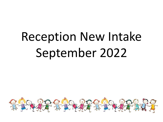# Reception New Intake September 2022

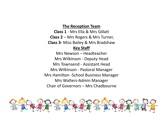#### **The Reception Team**

**Class 1** - Mrs Ella & Mrs Gillatt **Class 2** – Mrs Rogers & Mrs Turner, **Class 3-** Miss Bailey & Mrs Bradshaw **Key Staff**

Mrs Newson – Headteacher Mrs Wilkinson - Deputy Head Mrs Townsend - Assistant Head Mrs Wilkinson - Pastoral Manager Mrs Hamilton -School Business Manager Mrs Walters-Admin Manager Chair of Governors – Mrs Chadbourne

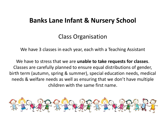## **Banks Lane Infant & Nursery School**

## Class Organisation

We have 3 classes in each year, each with a Teaching Assistant

We have to stress that we are **unable to take requests for classes**. Classes are carefully planned to ensure equal distributions of gender, birth term (autumn, spring & summer), special education needs, medical needs & welfare needs as well as ensuring that we don't have multiple children with the same first name.

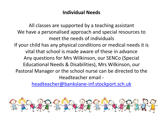### **Individual Needs**

All classes are supported by a teaching assistant We have a personalised approach and special resources to meet the needs of individuals If your child has any physical conditions or medical needs it is vital that school is made aware of these in advance Any questions for Mrs Wilkinson, our SENCo (Special Educational Needs & Disabilities), Mrs Wilkinson, our Pastoral Manager or the school nurse can be directed to the Headteacher email -

[headteacher@bankslane-inf.stockport.sch.uk](mailto:email-headteacher@bankslane-inf.stockport.sch.uk)

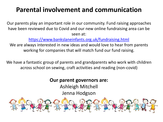## **Parental involvement and communication**

Our parents play an important role in our community. Fund raising approaches have been reviewed due to Covid and our new online fundraising area can be seen at:

<https://www.bankslaneinfants.org.uk/fundraising.html>

We are always interested in new ideas and would love to hear from parents working for companies that will match fund our fund raising.

We have a fantastic group of parents and grandparents who work with children across school on sewing, craft activities and reading (non-covid)

**Our parent governors are:**

Ashleigh Mitchell Jenna Hodgson

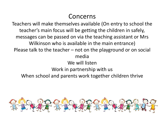## Concerns

Teachers will make themselves available (On entry to school the teacher's main focus will be getting the children in safely, messages can be passed on via the teaching assistant or Mrs Wilkinson who is available in the main entrance) Please talk to the teacher – not on the playground or on social media We will listen Work in partnership with us When school and parents work together children thrive

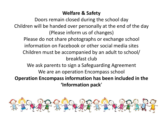### **Welfare & Safety**

Doors remain closed during the school day Children will be handed over personally at the end of the day (Please inform us of changes) Please do not share photographs or exchange school information on Facebook or other social media sites Children must be accompanied by an adult to school/ breakfast club We ask parents to sign a Safeguarding Agreement We are an operation Encompass school **Operation Encompass information has been included in the 'Information pack**'

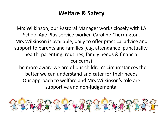## **Welfare & Safety**

Mrs Wilkinson, our Pastoral Manager works closely with LA School Age Plus service worker, Caroline Cherrington. Mrs Wilkinson is available, daily to offer practical advice and support to parents and families (e.g. attendance, punctuality, health, parenting, routines, family needs & financial concerns)

The more aware we are of our children's circumstances the better we can understand and cater for their needs Our approach to welfare and Mrs Wilkinson's role are supportive and non-judgemental

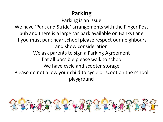## **Parking**

Parking is an issue

We have 'Park and Stride' arrangements with the Finger Post pub and there is a large car park available on Banks Lane If you must park near school please respect our neighbours and show consideration We ask parents to sign a Parking Agreement If at all possible please walk to school We have cycle and scooter storage Please do not allow your child to cycle or scoot on the school playground

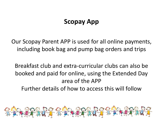## **Scopay App**

Our Scopay Parent APP is used for all online payments, including book bag and pump bag orders and trips

Breakfast club and extra-curricular clubs can also be booked and paid for online, using the Extended Day area of the APP Further details of how to access this will follow

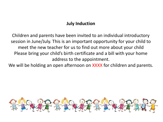#### **July Induction**

Children and parents have been invited to an individual introductory session in June/July. This is an important opportunity for your child to meet the new teacher for us to find out more about your child Please bring your child's birth certificate and a bill with your home address to the appointment.

We will be holding an open afternoon on XXXX for children and parents.

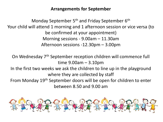#### **Arrangements for September**

Monday September 5<sup>th</sup> and Friday September 6<sup>th</sup> Your child will attend 1 morning and 1 afternoon session or vice versa (to be confirmed at your appointment) Morning sessions - 9.00am – 11.30am Afternoon sessions -12.30pm – 3.00pm

On Wednesday 7th September reception children will commence full time 9.00am – 3.10pm In the first two weeks we ask the children to line up in the playground where they are collected by staff From Monday 19th September doors will be open for children to enter between 8.50 and 9.00 am